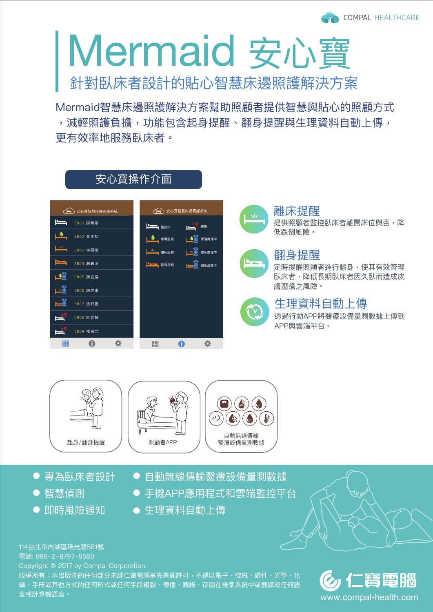# 針對臥床者設計的貼心智慧床邊照護解決方案 Mermaid 安心寶

Mermaid智慧床邊照護解決方案幫助照顧者提供智慧與貼心的照顧方式 ,減輕照護負擔,功能包含起身提醒、翻身提醒與生理資料自動上傳, 更有效率地服務臥床者。

| ) 安心寶智慧床邊照護系統            | 安心寶智慧床邊照護系統<br>بہی                                   |
|--------------------------|------------------------------------------------------|
| $\mathbf{P}$<br>5B01 陳明章 | ——(∴ <mark>♡</mark> 離線<br><b>Personal Experience</b> |
| <u>o</u><br>5B02 黃本初     | <u>00</u><br>尿濕服務<br>尿濕處理中                           |
| ╩<br>5B03 李顯榮            | ┃ <sup>ヽ!</sup> ∕  離床服務                              |
| ككا<br>5B04 趙雅姿          | <u>to ö</u><br>翻身處理中                                 |
| LOG<br>5B05 陳宏儒          |                                                      |
| LLO<br>5B06 陳燦甫          |                                                      |
| <u>e 3</u><br>5B07 涂軒豐   |                                                      |
| <u> په پ</u><br>5B08 陸文馨 |                                                      |
| 5B09 楊舜文                 |                                                      |
| 囲                        | H                                                    |

安心寶操作介面



## 離床提醒

提供照顧者監控臥床者離開床位與否,降 低跌倒風險。



#### 翻身提醒

定時提醒照顧者進行翻身,使其有效管理 臥床者,降低長期臥床者因久臥而造成皮 膚壓瘡之風險。



### 生理資料自動上傳

透過行動APP將醫療設備量測數據上傳到 APP與雲端平台。



- 專為臥床者設計
- 智慧偵測
- 即時風險通知

● 自動無線傳輸醫療設備量測數據

- 手機APP應用程式和雲端監控平台
- 牛理資料自動上傳

114台北市內湖區瑞光路581號

電話: 886-2-8797-8588

Copyright © 2017 by Compal Corporation.

版權所有:本出版物的任何部分未經仁寶電腦事先書面許可,不得以電子、機械、磁性、光學、化 學、手冊或其他方式的任何形式或任何手段複製、傳播、轉錄、存儲在檢索系統中或翻譯成任何語 言或計算機語言。